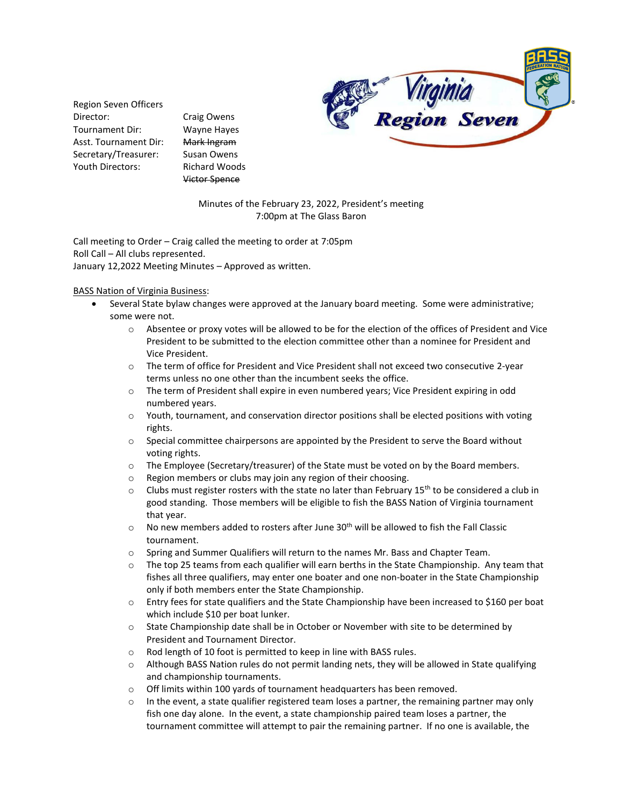

Region Seven Officers Director: Craig Owens Tournament Dir: Wayne Hayes Asst. Tournament Dir: Mark Ingram Secretary/Treasurer: Susan Owens Youth Directors: Richard Woods

Victor Spence

Minutes of the February 23, 2022, President's meeting 7:00pm at The Glass Baron

Call meeting to Order – Craig called the meeting to order at 7:05pm Roll Call – All clubs represented. January 12,2022 Meeting Minutes – Approved as written.

## BASS Nation of Virginia Business:

- Several State bylaw changes were approved at the January board meeting. Some were administrative; some were not.
	- o Absentee or proxy votes will be allowed to be for the election of the offices of President and Vice President to be submitted to the election committee other than a nominee for President and Vice President.
	- o The term of office for President and Vice President shall not exceed two consecutive 2-year terms unless no one other than the incumbent seeks the office.
	- o The term of President shall expire in even numbered years; Vice President expiring in odd numbered years.
	- $\circ$  Youth, tournament, and conservation director positions shall be elected positions with voting rights.
	- o Special committee chairpersons are appointed by the President to serve the Board without voting rights.
	- o The Employee (Secretary/treasurer) of the State must be voted on by the Board members.
	- o Region members or clubs may join any region of their choosing.
	- $\circ$  Clubs must register rosters with the state no later than February 15<sup>th</sup> to be considered a club in good standing. Those members will be eligible to fish the BASS Nation of Virginia tournament that year.
	- $\circ$  No new members added to rosters after June 30<sup>th</sup> will be allowed to fish the Fall Classic tournament.
	- o Spring and Summer Qualifiers will return to the names Mr. Bass and Chapter Team.
	- $\circ$  The top 25 teams from each qualifier will earn berths in the State Championship. Any team that fishes all three qualifiers, may enter one boater and one non-boater in the State Championship only if both members enter the State Championship.
	- o Entry fees for state qualifiers and the State Championship have been increased to \$160 per boat which include \$10 per boat lunker.
	- o State Championship date shall be in October or November with site to be determined by President and Tournament Director.
	- o Rod length of 10 foot is permitted to keep in line with BASS rules.
	- o Although BASS Nation rules do not permit landing nets, they will be allowed in State qualifying and championship tournaments.
	- o Off limits within 100 yards of tournament headquarters has been removed.
	- $\circ$  In the event, a state qualifier registered team loses a partner, the remaining partner may only fish one day alone. In the event, a state championship paired team loses a partner, the tournament committee will attempt to pair the remaining partner. If no one is available, the